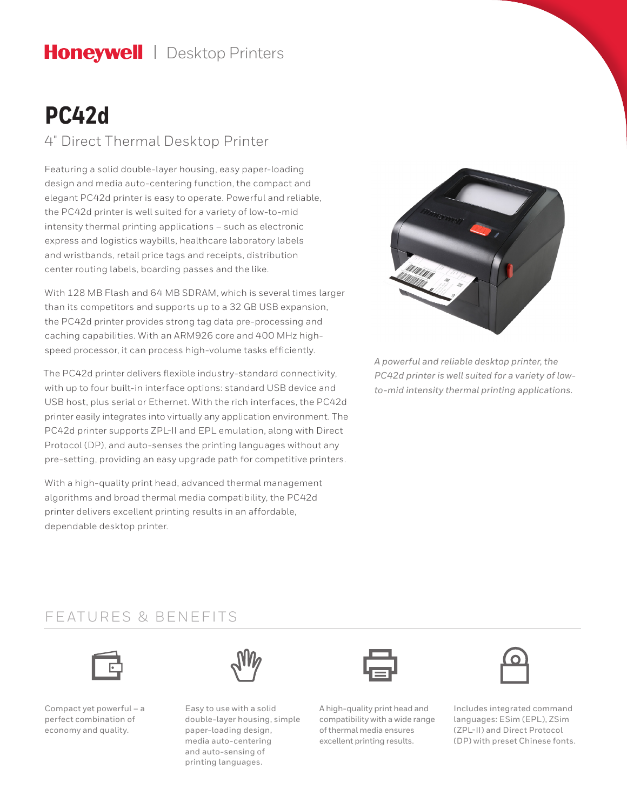# Honeywell | Desktop Printers

# **PC42d**

### 4" Direct Thermal Desktop Printer

Featuring a solid double-layer housing, easy paper-loading design and media auto-centering function, the compact and elegant PC42d printer is easy to operate. Powerful and reliable, the PC42d printer is well suited for a variety of low-to-mid intensity thermal printing applications – such as electronic express and logistics waybills, healthcare laboratory labels and wristbands, retail price tags and receipts, distribution center routing labels, boarding passes and the like.

With 128 MB Flash and 64 MB SDRAM, which is several times larger than its competitors and supports up to a 32 GB USB expansion, the PC42d printer provides strong tag data pre-processing and caching capabilities. With an ARM926 core and 400 MHz highspeed processor, it can process high-volume tasks efficiently.

The PC42d printer delivers flexible industry-standard connectivity, with up to four built-in interface options: standard USB device and USB host, plus serial or Ethernet. With the rich interfaces, the PC42d printer easily integrates into virtually any application environment. The PC42d printer supports ZPL-II and EPL emulation, along with Direct Protocol (DP), and auto-senses the printing languages without any pre-setting, providing an easy upgrade path for competitive printers.

With a high-quality print head, advanced thermal management algorithms and broad thermal media compatibility, the PC42d printer delivers excellent printing results in an affordable, dependable desktop printer.



*A powerful and reliable desktop printer, the PC42d printer is well suited for a variety of lowto-mid intensity thermal printing applications.*

### FEATURES & BENEFITS



Compact yet powerful – a perfect combination of economy and quality.



Easy to use with a solid double-layer housing, simple paper-loading design, media auto-centering and auto-sensing of printing languages.

A high-quality print head and compatibility with a wide range of thermal media ensures excellent printing results.



Includes integrated command languages: ESim (EPL), ZSim (ZPL-II) and Direct Protocol (DP) with preset Chinese fonts.